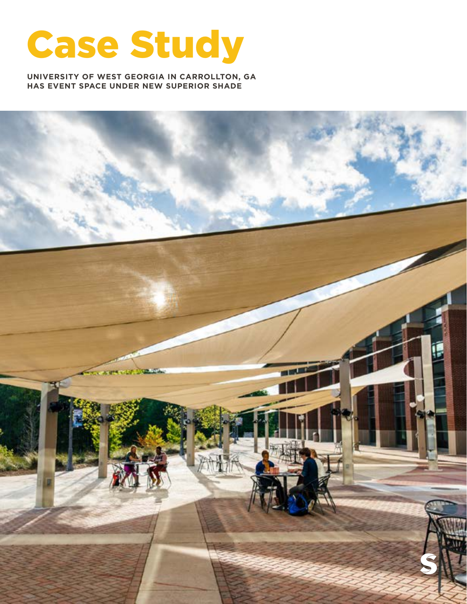

**UNIVERSITY OF WEST GEORGIA IN CARROLLTON, GA HAS EVENT SPACE UNDER NEW SUPERIOR SHADE** 

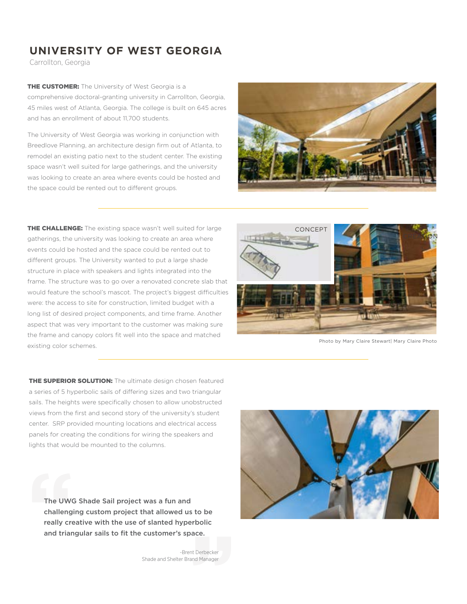## **UNIVERSITY OF WEST GEORGIA**

Carrollton, Georgia

**THE CUSTOMER:** The University of West Georgia is a comprehensive doctoral-granting university in Carrollton, Georgia, 45 miles west of Atlanta, Georgia. The college is built on 645 acres and has an enrollment of about 11,700 students.

The University of West Georgia was working in conjunction with Breedlove Planning, an architecture design firm out of Atlanta, to remodel an existing patio next to the student center. The existing space wasn't well suited for large gatherings, and the university was looking to create an area where events could be hosted and the space could be rented out to different groups.



**THE CHALLENGE:** The existing space wasn't well suited for large gatherings, the university was looking to create an area where events could be hosted and the space could be rented out to different groups. The University wanted to put a large shade structure in place with speakers and lights integrated into the frame. The structure was to go over a renovated concrete slab that would feature the school's mascot. The project's biggest difficulties were: the access to site for construction, limited budget with a long list of desired project components, and time frame. Another aspect that was very important to the customer was making sure the frame and canopy colors fit well into the space and matched existing color schemes.



Photo by Mary Claire Stewart| Mary Claire Photo

**THE SUPERIOR SOLUTION:** The ultimate design chosen featured a series of 5 hyperbolic sails of differing sizes and two triangular sails. The heights were specifically chosen to allow unobstructed views from the first and second story of the university's student center. SRP provided mounting locations and electrical access panels for creating the conditions for wiring the speakers and lights that would be mounted to the columns.

The UWG Shade Sail project was a fun and challenging custom project that allowed us to be really creative with the use of slanted hyperbolic and triangular sails to fit the customer's space.

> -Brent Derbecker Shade and Shelter Brand Manager